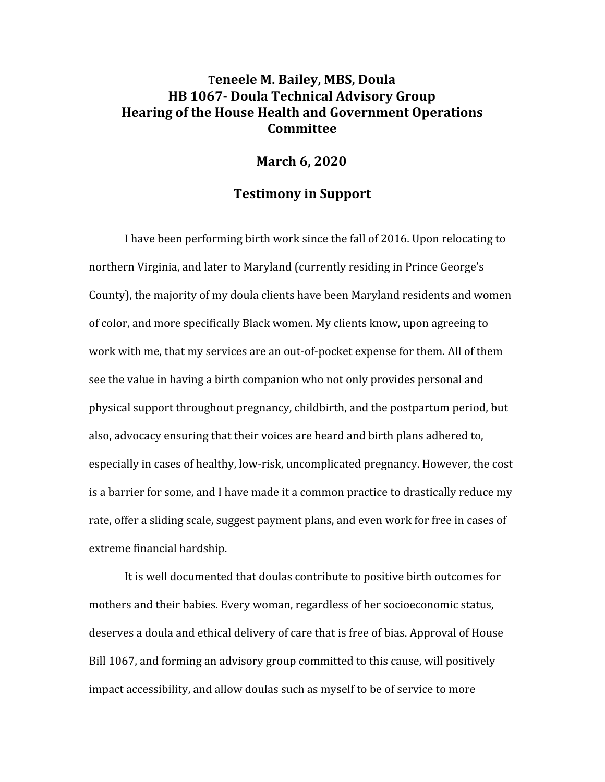## T**eneele M. Bailey, MBS, Doula HB 1067- Doula Technical Advisory Group Hearing of the House Health and Government Operations Committee**

## **March 6, 2020**

## **Testimony in Support**

I have been performing birth work since the fall of 2016. Upon relocating to northern Virginia, and later to Maryland (currently residing in Prince George's County), the majority of my doula clients have been Maryland residents and women of color, and more specifically Black women. My clients know, upon agreeing to work with me, that my services are an out-of-pocket expense for them. All of them see the value in having a birth companion who not only provides personal and physical support throughout pregnancy, childbirth, and the postpartum period, but also, advocacy ensuring that their voices are heard and birth plans adhered to, especially in cases of healthy, low-risk, uncomplicated pregnancy. However, the cost is a barrier for some, and I have made it a common practice to drastically reduce my rate, offer a sliding scale, suggest payment plans, and even work for free in cases of extreme financial hardship.

It is well documented that doulas contribute to positive birth outcomes for mothers and their babies. Every woman, regardless of her socioeconomic status, deserves a doula and ethical delivery of care that is free of bias. Approval of House Bill 1067, and forming an advisory group committed to this cause, will positively impact accessibility, and allow doulas such as myself to be of service to more